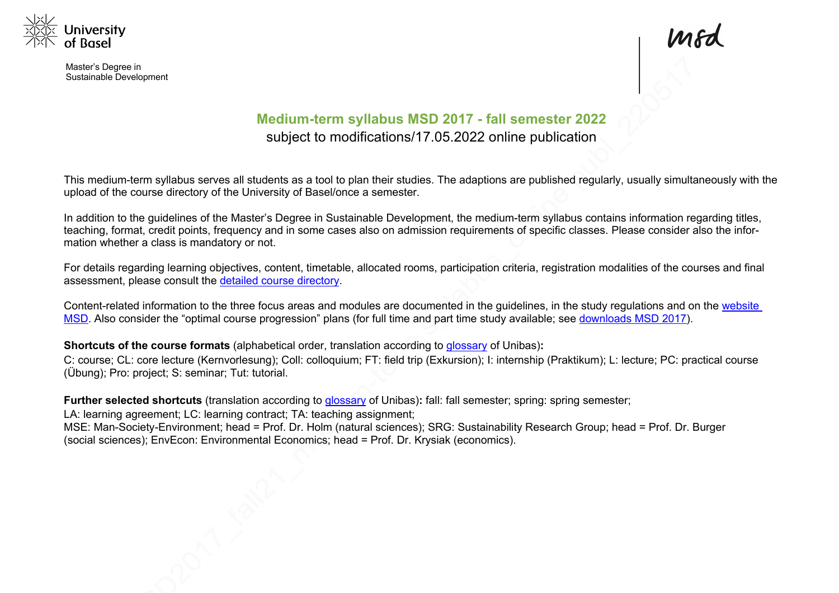

Master's Degree in Sustainable Development



# **Medium-term syllabus MSD 2017 - fall semester 2022** subject to modifications/17.05.2022 online publication

This medium-term syllabus serves all students as a tool to plan their studies. The adaptions are published regularly, usually simultaneously with the upload of the course directory of the University of Basel/once a semester.

In addition to the guidelines of the Master's Degree in Sustainable Development, the medium-term syllabus contains information regarding titles, teaching, format, credit points, frequency and in some cases also on admission requirements of specific classes. Please consider also the information whether a class is mandatory or not.

For details regarding learning objectives, content, timetable, allocated rooms, participation criteria, registration modalities of the courses and final assessment, please consult the detailed course directory.

Content-related information to the three focus areas and modules are documented in the guidelines, in the study regulations and on the website MSD. Also consider the "optimal course progression" plans (for full time and part time study available; see downloads MSD 2017).

**Shortcuts of the course formats** (alphabetical order, translation according to glossary of Unibas)**:**

C: course; CL: core lecture (Kernvorlesung); Coll: colloquium; FT: field trip (Exkursion); I: internship (Praktikum); L: lecture; PC: practical course (Übung); Pro: project; S: seminar; Tut: tutorial.

**Further selected shortcuts** (translation according to glossary of Unibas)**:** fall: fall semester; spring: spring semester;

LA: learning agreement; LC: learning contract; TA: teaching assignment;

MSE: Man-Society-Environment; head = Prof. Dr. Holm (natural sciences); SRG: Sustainability Research Group; head = Prof. Dr. Burger (social sciences); EnvEcon: Environmental Economics; head = Prof. Dr. Krysiak (economics).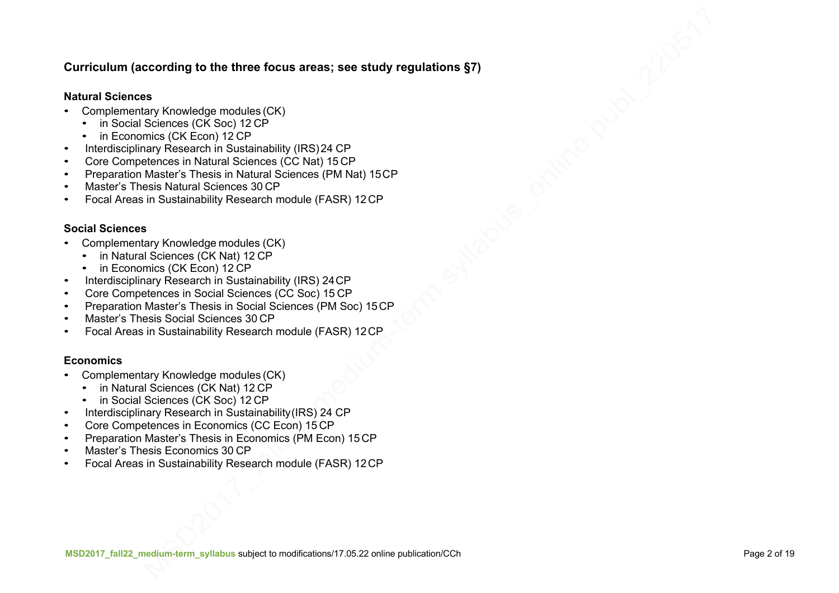### **Curriculum (according to the three focus areas; see study regulations §7)**

#### **Natural Sciences**

- Complementary Knowledge modules (CK)
	- in Social Sciences (CK Soc) 12 CP
	- in Economics (CK Econ) 12 CP
- Interdisciplinary Research in Sustainability (IRS)24 CP
- Core Competences in Natural Sciences (CC Nat) 15 CP
- Preparation Master's Thesis in Natural Sciences (PM Nat) 15CP
- Master's Thesis Natural Sciences 30 CP
- Focal Areas in Sustainability Research module (FASR) 12 CP

#### **Social Sciences**

- Complementary Knowledge modules (CK)
	- in Natural Sciences (CK Nat) 12 CP
	- in Economics (CK Econ) 12 CP
- Interdisciplinary Research in Sustainability (IRS) 24CP
- Core Competences in Social Sciences (CC Soc) 15 CP
- Preparation Master's Thesis in Social Sciences (PM Soc) 15CP
- Master's Thesis Social Sciences 30 CP
- Focal Areas in Sustainability Research module (FASR) 12CP

### **Economics**

- Complementary Knowledge modules (CK)
	- in Natural Sciences (CK Nat) 12 CP
	- in Social Sciences (CK Soc) 12 CP
- Interdisciplinary Research in Sustainability (IRS) 24 CP
- Core Competences in Economics (CC Econ) 15 CP
- Preparation Master's Thesis in Economics (PM Econ) 15 CP
- Master's Thesis Economics 30 CP
- Focal Areas in Sustainability Research module (FASR) 12CP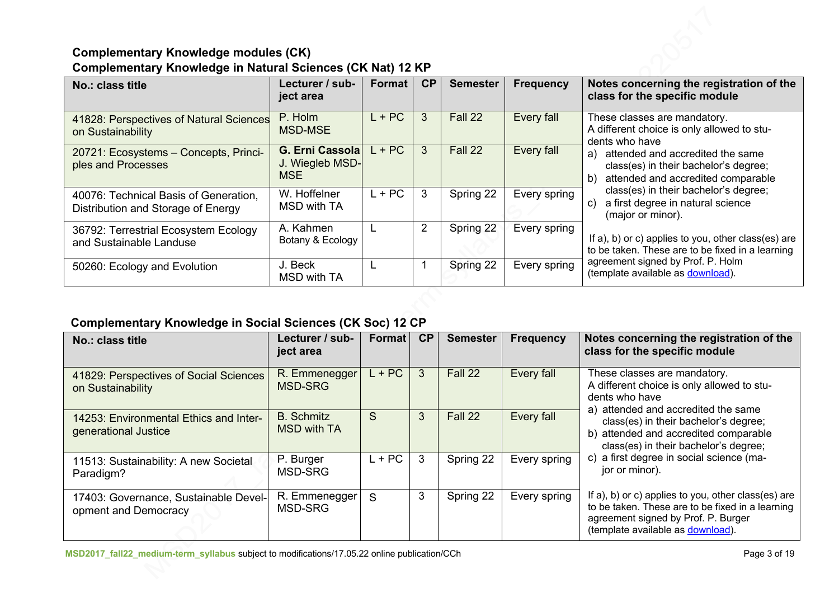## **Complementary Knowledge modules (CK) Complementary Knowledge in Natural Sciences (CK Nat) 12 KP**

| No.: class title                                                            | Lecturer / sub-<br>ject area                             | Format   | <b>CP</b>      | <b>Semester</b> | <b>Frequency</b> | Notes concerning the registration of the<br>class for the specific module                                                                                                                                                            |
|-----------------------------------------------------------------------------|----------------------------------------------------------|----------|----------------|-----------------|------------------|--------------------------------------------------------------------------------------------------------------------------------------------------------------------------------------------------------------------------------------|
| 41828: Perspectives of Natural Sciences<br>on Sustainability                | P. Holm<br><b>MSD-MSE</b>                                | $L + PC$ | 3              | Fall 22         | Every fall       | These classes are mandatory.<br>A different choice is only allowed to stu-<br>dents who have                                                                                                                                         |
| 20721: Ecosystems - Concepts, Princi-<br>ples and Processes                 | <b>G. Erni Cassolal</b><br>J. Wiegleb MSD-<br><b>MSE</b> | $L + PC$ | 3              | Fall 22         | Every fall       | attended and accredited the same<br>a)<br>class(es) in their bachelor's degree;<br>attended and accredited comparable<br>b)<br>class(es) in their bachelor's degree;<br>a first degree in natural science<br>C)<br>(major or minor). |
| 40076: Technical Basis of Generation,<br>Distribution and Storage of Energy | W. Hoffelner<br><b>MSD with TA</b>                       | $L + PC$ | 3              | Spring 22       | Every spring     |                                                                                                                                                                                                                                      |
| 36792: Terrestrial Ecosystem Ecology<br>and Sustainable Landuse             | A. Kahmen<br>Botany & Ecology                            |          | $\overline{2}$ | Spring 22       | Every spring     | If a), b) or c) applies to you, other class(es) are<br>to be taken. These are to be fixed in a learning                                                                                                                              |
| 50260: Ecology and Evolution                                                | J. Beck<br>MSD with TA                                   |          |                | Spring 22       | Every spring     | agreement signed by Prof. P. Holm<br>(template available as download).                                                                                                                                                               |

# **Complementary Knowledge in Social Sciences (CK Soc) 12 CP**

| No.: class title                                               | Lecturer / sub-<br>ject area            | Format   | CP | <b>Semester</b> | <b>Frequency</b> | Notes concerning the registration of the<br>class for the specific module                                                                                                                                                                                                                                                    |
|----------------------------------------------------------------|-----------------------------------------|----------|----|-----------------|------------------|------------------------------------------------------------------------------------------------------------------------------------------------------------------------------------------------------------------------------------------------------------------------------------------------------------------------------|
| 41829: Perspectives of Social Sciences<br>on Sustainability    | R. Emmenegger<br><b>MSD-SRG</b>         | $L + PC$ | 3  | Fall 22         | Every fall       | These classes are mandatory.<br>A different choice is only allowed to stu-<br>dents who have<br>a) attended and accredited the same<br>class(es) in their bachelor's degree;<br>b) attended and accredited comparable<br>class(es) in their bachelor's degree;<br>c) a first degree in social science (ma-<br>jor or minor). |
| 14253: Environmental Ethics and Inter-<br>generational Justice | <b>B.</b> Schmitz<br><b>MSD with TA</b> | S        | 3  | Fall 22         | Every fall       |                                                                                                                                                                                                                                                                                                                              |
| 11513: Sustainability: A new Societal<br>Paradigm?             | P. Burger<br>MSD-SRG                    | $L + PC$ | 3  | Spring 22       | Every spring     |                                                                                                                                                                                                                                                                                                                              |
| 17403: Governance, Sustainable Devel-<br>opment and Democracy  | R. Emmenegger<br>MSD-SRG                | S        | 3  | Spring 22       | Every spring     | If a), b) or c) applies to you, other class(es) are<br>to be taken. These are to be fixed in a learning<br>agreement signed by Prof. P. Burger<br>(template available as download).                                                                                                                                          |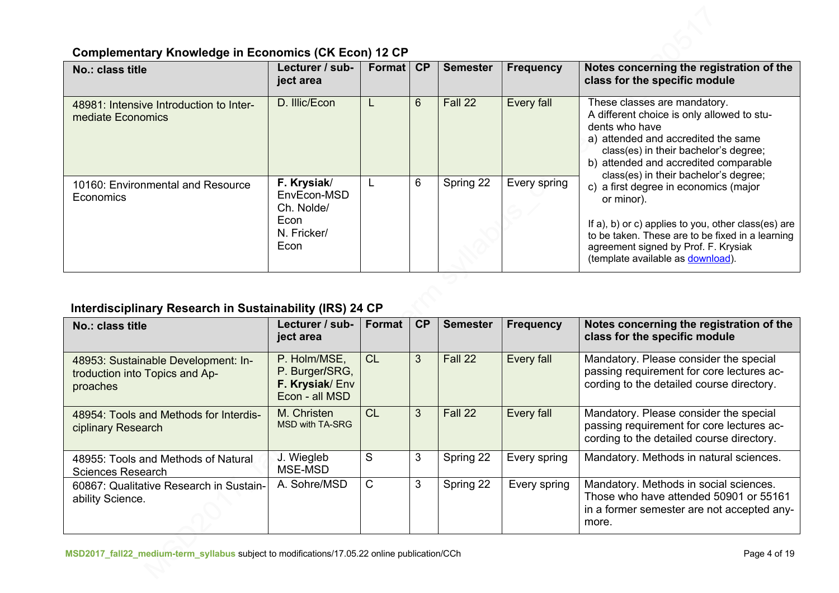# **Complementary Knowledge in Economics (CK Econ) 12 CP**

| No.: class title                                             | Lecturer / sub-<br>ject area                                            | <b>Format</b> | CP             | <b>Semester</b> | Frequency    | Notes concerning the registration of the<br>class for the specific module                                                                                                                                                                                      |
|--------------------------------------------------------------|-------------------------------------------------------------------------|---------------|----------------|-----------------|--------------|----------------------------------------------------------------------------------------------------------------------------------------------------------------------------------------------------------------------------------------------------------------|
| 48981: Intensive Introduction to Inter-<br>mediate Economics | D. Illic/Econ                                                           |               | $6\phantom{1}$ | Fall 22         | Every fall   | These classes are mandatory.<br>A different choice is only allowed to stu-<br>dents who have<br>a) attended and accredited the same<br>class(es) in their bachelor's degree;<br>b) attended and accredited comparable<br>class(es) in their bachelor's degree; |
| 10160: Environmental and Resource<br>Economics               | F. Krysiak/<br>EnvEcon-MSD<br>Ch. Nolde/<br>Econ<br>N. Fricker/<br>Econ |               | 6              | Spring 22       | Every spring | c) a first degree in economics (major<br>or minor).<br>If a), b) or c) applies to you, other class(es) are<br>to be taken. These are to be fixed in a learning<br>agreement signed by Prof. F. Krysiak<br>(template available as download).                    |

# **Interdisciplinary Research in Sustainability (IRS) 24 CP**

| No.: class title                                                                  | Lecturer / sub-<br>ject area                                       | Format | CP | <b>Semester</b> | <b>Frequency</b> | Notes concerning the registration of the<br>class for the specific module                                                               |
|-----------------------------------------------------------------------------------|--------------------------------------------------------------------|--------|----|-----------------|------------------|-----------------------------------------------------------------------------------------------------------------------------------------|
| 48953: Sustainable Development: In-<br>troduction into Topics and Ap-<br>proaches | P. Holm/MSE,<br>P. Burger/SRG,<br>F. Krysiak/Env<br>Econ - all MSD | CL     | 3  | Fall 22         | Every fall       | Mandatory. Please consider the special<br>passing requirement for core lectures ac-<br>cording to the detailed course directory.        |
| 48954: Tools and Methods for Interdis-<br>ciplinary Research                      | M. Christen<br><b>MSD with TA-SRG</b>                              | CL     | 3  | Fall 22         | Every fall       | Mandatory. Please consider the special<br>passing requirement for core lectures ac-<br>cording to the detailed course directory.        |
| 48955: Tools and Methods of Natural<br><b>Sciences Research</b>                   | J. Wiegleb<br>MSE-MSD                                              | S      | 3  | Spring 22       | Every spring     | Mandatory. Methods in natural sciences.                                                                                                 |
| 60867: Qualitative Research in Sustain-<br>ability Science.                       | A. Sohre/MSD                                                       | C      | 3  | Spring 22       | Every spring     | Mandatory. Methods in social sciences.<br>Those who have attended 50901 or 55161<br>in a former semester are not accepted any-<br>more. |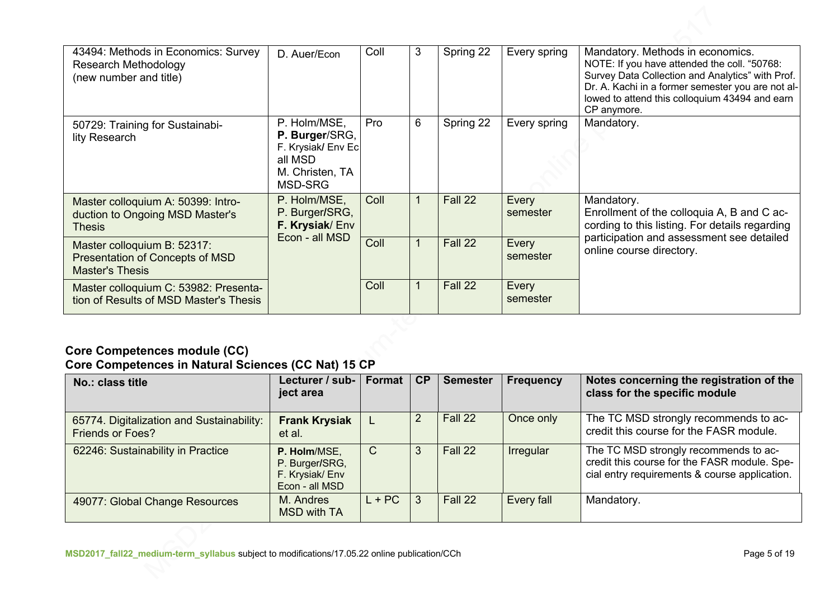| 43494: Methods in Economics: Survey<br><b>Research Methodology</b><br>(new number and title)    | D. Auer/Econ                                                                                  | Coll | 3 | Spring 22 | Every spring      | Mandatory. Methods in economics.<br>NOTE: If you have attended the coll. "50768:<br>Survey Data Collection and Analytics" with Prof.<br>Dr. A. Kachi in a former semester you are not al-<br>lowed to attend this colloquium 43494 and earn<br>CP anymore. |
|-------------------------------------------------------------------------------------------------|-----------------------------------------------------------------------------------------------|------|---|-----------|-------------------|------------------------------------------------------------------------------------------------------------------------------------------------------------------------------------------------------------------------------------------------------------|
| 50729: Training for Sustainabi-<br>lity Research                                                | P. Holm/MSE,<br>P. Burger/SRG,<br>F. Krysiak/ Env Ec<br>all MSD<br>M. Christen, TA<br>MSD-SRG | Pro  | 6 | Spring 22 | Every spring      | Mandatory.                                                                                                                                                                                                                                                 |
| Master colloquium A: 50399: Intro-<br>duction to Ongoing MSD Master's<br><b>Thesis</b>          | P. Holm/MSE,<br>P. Burger/SRG,<br>F. Krysiak/Env<br>Econ - all MSD                            | Coll |   | Fall 22   | Every<br>semester | Mandatory.<br>Enrollment of the colloquia A, B and C ac-<br>cording to this listing. For details regarding                                                                                                                                                 |
| Master colloquium B: 52317:<br><b>Presentation of Concepts of MSD</b><br><b>Master's Thesis</b> |                                                                                               | Coll |   | Fall 22   | Every<br>semester | participation and assessment see detailed<br>online course directory.                                                                                                                                                                                      |
| Master colloquium C: 53982: Presenta-<br>tion of Results of MSD Master's Thesis                 |                                                                                               | Coll |   | Fall 22   | Every<br>semester |                                                                                                                                                                                                                                                            |

## **Core Competences module (CC) Core Competences in Natural Sciences (CC Nat) 15 CP**

| No.: class title                                                     | Lecturer / sub-<br>ject area                                       | Format   | CP | <b>Semester</b> | Frequency  | Notes concerning the registration of the<br>class for the specific module                                                              |
|----------------------------------------------------------------------|--------------------------------------------------------------------|----------|----|-----------------|------------|----------------------------------------------------------------------------------------------------------------------------------------|
| 65774. Digitalization and Sustainability:<br><b>Friends or Foes?</b> | <b>Frank Krysiak</b><br>et al.                                     |          | 2  | Fall 22         | Once only  | The TC MSD strongly recommends to ac-<br>credit this course for the FASR module.                                                       |
| 62246: Sustainability in Practice                                    | P. Holm/MSE,<br>P. Burger/SRG,<br>F. Krysiak/Env<br>Econ - all MSD | C        | 3  | Fall 22         | Irregular  | The TC MSD strongly recommends to ac-<br>credit this course for the FASR module. Spe-<br>cial entry requirements & course application. |
| 49077: Global Change Resources                                       | M. Andres<br><b>MSD with TA</b>                                    | $L + PC$ | 3  | Fall 22         | Every fall | Mandatory.                                                                                                                             |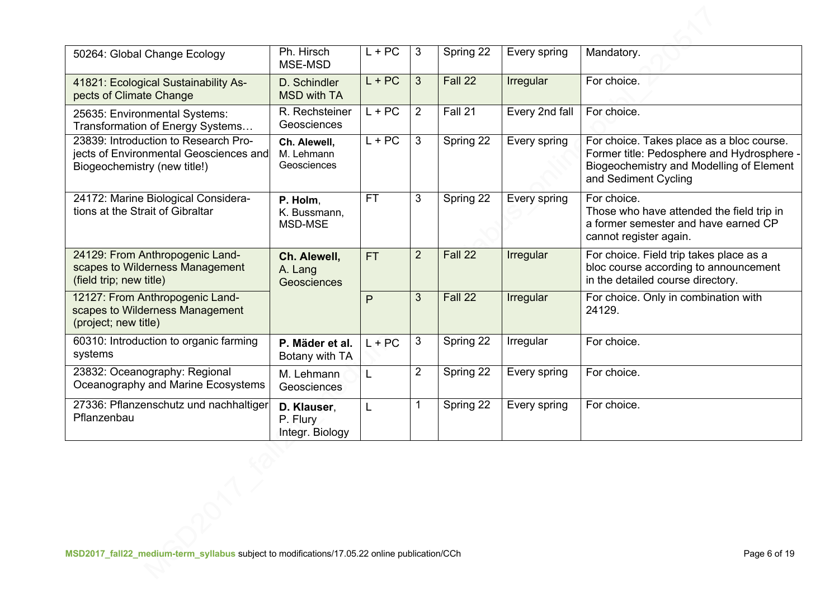| 50264: Global Change Ecology                                                                                   | Ph. Hirsch<br>MSE-MSD                      | $L + PC$  | 3              | Spring 22 | Every spring   | Mandatory.                                                                                                                                                  |
|----------------------------------------------------------------------------------------------------------------|--------------------------------------------|-----------|----------------|-----------|----------------|-------------------------------------------------------------------------------------------------------------------------------------------------------------|
| 41821: Ecological Sustainability As-<br>pects of Climate Change                                                | D. Schindler<br><b>MSD with TA</b>         | $L + PC$  | 3              | Fall 22   | Irregular      | For choice.                                                                                                                                                 |
| 25635: Environmental Systems:<br>Transformation of Energy Systems                                              | R. Rechsteiner<br>Geosciences              | $L + PC$  | $\overline{2}$ | Fall 21   | Every 2nd fall | For choice.                                                                                                                                                 |
| 23839: Introduction to Research Pro-<br>jects of Environmental Geosciences and<br>Biogeochemistry (new title!) | Ch. Alewell,<br>M. Lehmann<br>Geosciences  | $L + PC$  | 3              | Spring 22 | Every spring   | For choice. Takes place as a bloc course.<br>Former title: Pedosphere and Hydrosphere -<br>Biogeochemistry and Modelling of Element<br>and Sediment Cycling |
| 24172: Marine Biological Considera-<br>tions at the Strait of Gibraltar                                        | P. Holm,<br>K. Bussmann,<br>MSD-MSE        | <b>FT</b> | 3              | Spring 22 | Every spring   | For choice.<br>Those who have attended the field trip in<br>a former semester and have earned CP<br>cannot register again.                                  |
| 24129: From Anthropogenic Land-<br>scapes to Wilderness Management<br>(field trip; new title)                  | Ch. Alewell,<br>A. Lang<br>Geosciences     | <b>FT</b> | $\overline{2}$ | Fall 22   | Irregular      | For choice. Field trip takes place as a<br>bloc course according to announcement<br>in the detailed course directory.                                       |
| 12127: From Anthropogenic Land-<br>scapes to Wilderness Management<br>(project; new title)                     |                                            | P         | 3              | Fall 22   | Irregular      | For choice. Only in combination with<br>24129.                                                                                                              |
| 60310: Introduction to organic farming<br>systems                                                              | P. Mäder et al.<br>Botany with TA          | $L + PC$  | 3              | Spring 22 | Irregular      | For choice.                                                                                                                                                 |
| 23832: Oceanography: Regional<br>Oceanography and Marine Ecosystems                                            | M. Lehmann<br>Geosciences                  | L         | 2              | Spring 22 | Every spring   | For choice.                                                                                                                                                 |
| 27336: Pflanzenschutz und nachhaltiger<br>Pflanzenbau                                                          | D. Klauser,<br>P. Flury<br>Integr. Biology | L         | $\mathbf 1$    | Spring 22 | Every spring   | For choice.                                                                                                                                                 |
|                                                                                                                |                                            |           |                |           |                |                                                                                                                                                             |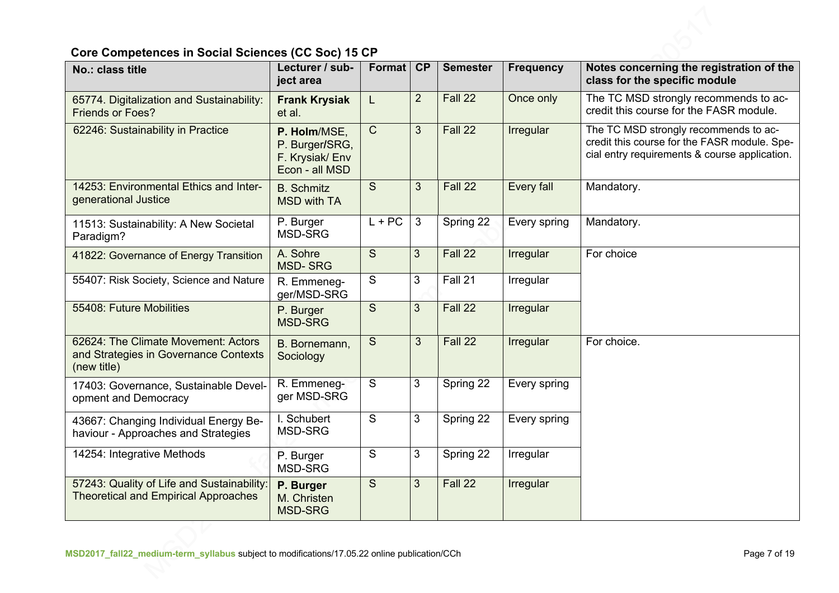# **Core Competences in Social Sciences (CC Soc) 15 CP**

| No.: class title                                                                            | Lecturer / sub-<br>ject area                                       | Format         | <b>CP</b>      | <b>Semester</b> | <b>Frequency</b> | Notes concerning the registration of the<br>class for the specific module                                                              |
|---------------------------------------------------------------------------------------------|--------------------------------------------------------------------|----------------|----------------|-----------------|------------------|----------------------------------------------------------------------------------------------------------------------------------------|
| 65774. Digitalization and Sustainability:<br><b>Friends or Foes?</b>                        | <b>Frank Krysiak</b><br>et al.                                     | L              | $\overline{2}$ | Fall 22         | Once only        | The TC MSD strongly recommends to ac-<br>credit this course for the FASR module.                                                       |
| 62246: Sustainability in Practice                                                           | P. Holm/MSE,<br>P. Burger/SRG,<br>F. Krysiak/Env<br>Econ - all MSD | $\mathsf{C}$   | 3              | Fall 22         | Irregular        | The TC MSD strongly recommends to ac-<br>credit this course for the FASR module. Spe-<br>cial entry requirements & course application. |
| 14253: Environmental Ethics and Inter-<br>generational Justice                              | <b>B.</b> Schmitz<br><b>MSD with TA</b>                            | S              | 3              | Fall 22         | Every fall       | Mandatory.                                                                                                                             |
| 11513: Sustainability: A New Societal<br>Paradigm?                                          | P. Burger<br><b>MSD-SRG</b>                                        | $L + PC$       | 3              | Spring 22       | Every spring     | Mandatory.                                                                                                                             |
| 41822: Governance of Energy Transition                                                      | A. Sohre<br><b>MSD-SRG</b>                                         | S              | 3 <sup>2</sup> | Fall 22         | Irregular        | For choice                                                                                                                             |
| 55407: Risk Society, Science and Nature                                                     | R. Emmeneg-<br>ger/MSD-SRG                                         | S              | 3              | Fall 21         | Irregular        |                                                                                                                                        |
| 55408: Future Mobilities                                                                    | P. Burger<br><b>MSD-SRG</b>                                        | S              | 3 <sup>2</sup> | Fall 22         | Irregular        |                                                                                                                                        |
| 62624: The Climate Movement: Actors<br>and Strategies in Governance Contexts<br>(new title) | B. Bornemann,<br>Sociology                                         | $\overline{S}$ | 3              | Fall 22         | Irregular        | For choice.                                                                                                                            |
| 17403: Governance, Sustainable Devel-<br>opment and Democracy                               | R. Emmeneg-<br>ger MSD-SRG                                         | $\overline{S}$ | 3              | Spring 22       | Every spring     |                                                                                                                                        |
| 43667: Changing Individual Energy Be-<br>haviour - Approaches and Strategies                | I. Schubert<br><b>MSD-SRG</b>                                      | $\mathsf{S}$   | 3              | Spring 22       | Every spring     |                                                                                                                                        |
| 14254: Integrative Methods                                                                  | P. Burger<br>MSD-SRG                                               | S              | $\mathbf{3}$   | Spring 22       | Irregular        |                                                                                                                                        |
| 57243: Quality of Life and Sustainability:<br><b>Theoretical and Empirical Approaches</b>   | P. Burger<br>M. Christen<br><b>MSD-SRG</b>                         | $\overline{S}$ | 3 <sup>1</sup> | Fall 22         | Irregular        |                                                                                                                                        |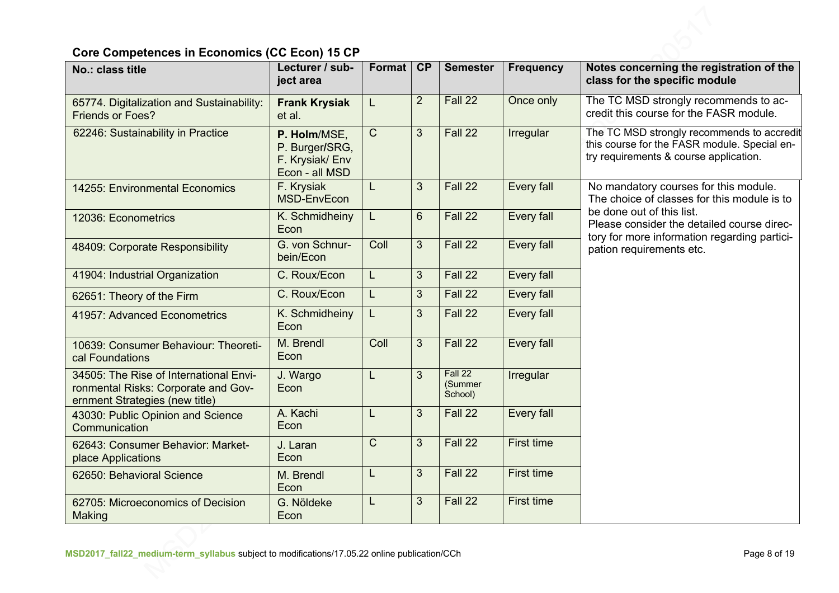# **Core Competences in Economics (CC Econ) 15 CP**

| No.: class title                                                                                                | Lecturer / sub-<br>ject area                                        | Format         | <b>CP</b>      | <b>Semester</b>               | <b>Frequency</b>  | Notes concerning the registration of the<br>class for the specific module                                                            |
|-----------------------------------------------------------------------------------------------------------------|---------------------------------------------------------------------|----------------|----------------|-------------------------------|-------------------|--------------------------------------------------------------------------------------------------------------------------------------|
| 65774. Digitalization and Sustainability:<br><b>Friends or Foes?</b>                                            | <b>Frank Krysiak</b><br>et al.                                      | L              | $\overline{2}$ | Fall 22                       | Once only         | The TC MSD strongly recommends to ac-<br>credit this course for the FASR module.                                                     |
| 62246: Sustainability in Practice                                                                               | P. Holm/MSE,<br>P. Burger/SRG,<br>F. Krysiak/ Env<br>Econ - all MSD | $\mathsf{C}$   | $\overline{3}$ | Fall 22                       | Irregular         | The TC MSD strongly recommends to accredit<br>this course for the FASR module. Special en-<br>try requirements & course application. |
| 14255: Environmental Economics                                                                                  | F. Krysiak<br>MSD-EnvEcon                                           | L              | 3              | Fall 22                       | Every fall        | No mandatory courses for this module.<br>The choice of classes for this module is to                                                 |
| 12036: Econometrics                                                                                             | K. Schmidheiny<br>Econ                                              | L              | 6              | Fall 22                       | Every fall        | be done out of this list.<br>Please consider the detailed course direc-                                                              |
| 48409: Corporate Responsibility                                                                                 | G. von Schnur-<br>bein/Econ                                         | Coll           | $\overline{3}$ | Fall 22                       | Every fall        | tory for more information regarding partici-<br>pation requirements etc.                                                             |
| 41904: Industrial Organization                                                                                  | C. Roux/Econ                                                        | L              | $\overline{3}$ | Fall 22                       | Every fall        |                                                                                                                                      |
| 62651: Theory of the Firm                                                                                       | C. Roux/Econ                                                        | L              | $\overline{3}$ | Fall 22                       | Every fall        |                                                                                                                                      |
| 41957: Advanced Econometrics                                                                                    | K. Schmidheiny<br>Econ                                              | L              | 3              | Fall 22                       | Every fall        |                                                                                                                                      |
| 10639: Consumer Behaviour: Theoreti-<br>cal Foundations                                                         | M. Brendl<br>Econ                                                   | Coll           | $\overline{3}$ | Fall 22                       | Every fall        |                                                                                                                                      |
| 34505: The Rise of International Envi-<br>ronmental Risks: Corporate and Gov-<br>ernment Strategies (new title) | J. Wargo<br>Econ                                                    |                | $\overline{3}$ | Fall 22<br>(Summer<br>School) | Irregular         |                                                                                                                                      |
| 43030: Public Opinion and Science<br>Communication                                                              | A. Kachi<br>Econ                                                    |                | 3 <sup>2</sup> | Fall 22                       | Every fall        |                                                                                                                                      |
| 62643: Consumer Behavior: Market-<br>place Applications                                                         | J. Laran<br>Econ                                                    | $\overline{C}$ | $\overline{3}$ | Fall 22                       | <b>First time</b> |                                                                                                                                      |
| 62650: Behavioral Science                                                                                       | M. Brendl<br>Econ                                                   |                | $\overline{3}$ | Fall 22                       | First time        |                                                                                                                                      |
| 62705: Microeconomics of Decision<br>Making                                                                     | G. Nöldeke<br>Econ                                                  | L              | 3 <sup>2</sup> | Fall 22                       | <b>First time</b> |                                                                                                                                      |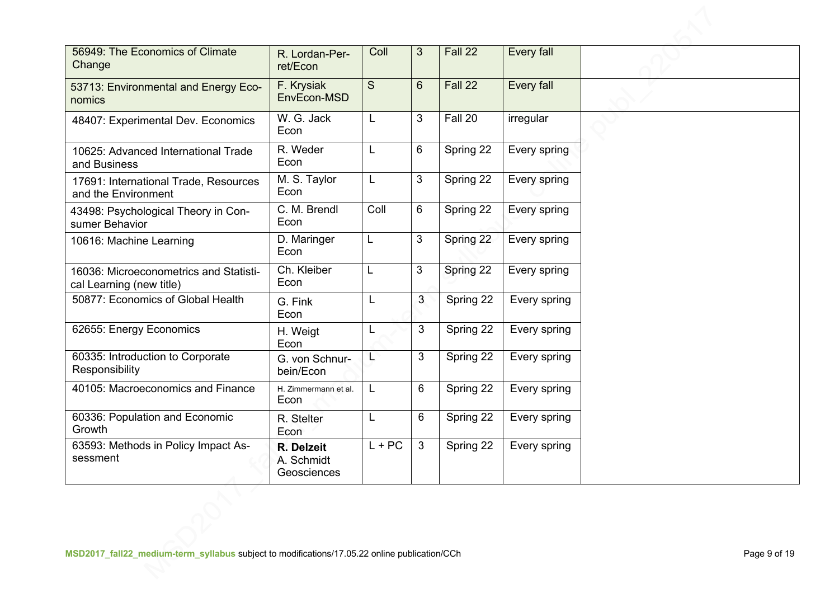| 56949: The Economics of Climate<br>Change                          | R. Lordan-Per-<br>ret/Econ              | Coll         | 3              | Fall 22   | Every fall   |  |
|--------------------------------------------------------------------|-----------------------------------------|--------------|----------------|-----------|--------------|--|
| 53713: Environmental and Energy Eco-<br>nomics                     | F. Krysiak<br>EnvEcon-MSD               | S            | $6\phantom{1}$ | Fall 22   | Every fall   |  |
| 48407: Experimental Dev. Economics                                 | W. G. Jack<br>Econ                      | L            | 3              | Fall 20   | irregular    |  |
| 10625: Advanced International Trade<br>and Business                | R. Weder<br>Econ                        | L            | 6              | Spring 22 | Every spring |  |
| 17691: International Trade, Resources<br>and the Environment       | M. S. Taylor<br>Econ                    | L            | 3              | Spring 22 | Every spring |  |
| 43498: Psychological Theory in Con-<br>sumer Behavior              | C. M. Brendl<br>Econ                    | Coll         | 6              | Spring 22 | Every spring |  |
| 10616: Machine Learning                                            | D. Maringer<br>Econ                     | L            | 3              | Spring 22 | Every spring |  |
| 16036: Microeconometrics and Statisti-<br>cal Learning (new title) | Ch. Kleiber<br>Econ                     | L            | 3              | Spring 22 | Every spring |  |
| 50877: Economics of Global Health                                  | G. Fink<br>Econ                         |              | 3              | Spring 22 | Every spring |  |
| 62655: Energy Economics                                            | H. Weigt<br>Econ                        | L            | 3              | Spring 22 | Every spring |  |
| 60335: Introduction to Corporate<br>Responsibility                 | G. von Schnur-<br>bein/Econ             | L            | 3              | Spring 22 | Every spring |  |
| 40105: Macroeconomics and Finance                                  | H. Zimmermann et al.<br>Econ            | $\mathsf{L}$ | 6              | Spring 22 | Every spring |  |
| 60336: Population and Economic<br>Growth                           | R. Stelter<br>Econ                      | L            | 6              | Spring 22 | Every spring |  |
| 63593: Methods in Policy Impact As-<br>sessment                    | R. Delzeit<br>A. Schmidt<br>Geosciences | $L + PC$     | $\mathbf{3}$   | Spring 22 | Every spring |  |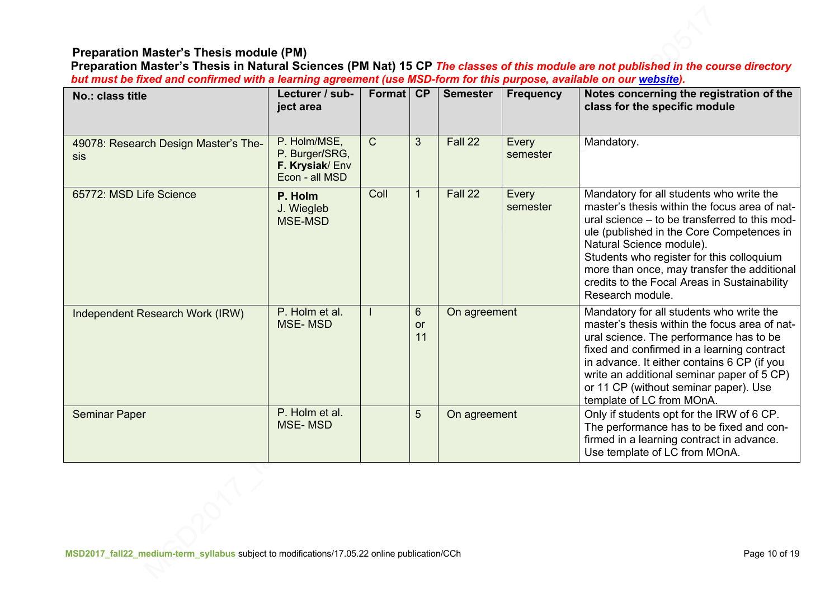### **Preparation Master's Thesis module (PM)**

**Preparation Master's Thesis in Natural Sciences (PM Nat) 15 CP** *The classes of this module are not published in the course directory but must be fixed and confirmed with a learning agreement (use MSD-form for this purpose, available on our website).*

| No.: class title                                   | Lecturer / sub-<br>ject area                                       | Format       | CP                   | <b>Semester</b> | <b>Frequency</b>  | Notes concerning the registration of the<br>class for the specific module                                                                                                                                                                                                                                                                                                           |
|----------------------------------------------------|--------------------------------------------------------------------|--------------|----------------------|-----------------|-------------------|-------------------------------------------------------------------------------------------------------------------------------------------------------------------------------------------------------------------------------------------------------------------------------------------------------------------------------------------------------------------------------------|
| 49078: Research Design Master's The-<br><b>Sis</b> | P. Holm/MSE,<br>P. Burger/SRG,<br>F. Krysiak/Env<br>Econ - all MSD | $\mathsf{C}$ | 3                    | Fall 22         | Every<br>semester | Mandatory.                                                                                                                                                                                                                                                                                                                                                                          |
| 65772: MSD Life Science                            | P. Holm<br>J. Wiegleb<br>MSE-MSD                                   | Coll         |                      | Fall 22         | Every<br>semester | Mandatory for all students who write the<br>master's thesis within the focus area of nat-<br>ural science – to be transferred to this mod-<br>ule (published in the Core Competences in<br>Natural Science module).<br>Students who register for this colloquium<br>more than once, may transfer the additional<br>credits to the Focal Areas in Sustainability<br>Research module. |
| Independent Research Work (IRW)                    | P. Holm et al.<br><b>MSE-MSD</b>                                   |              | 6<br><b>or</b><br>11 | On agreement    |                   | Mandatory for all students who write the<br>master's thesis within the focus area of nat-<br>ural science. The performance has to be<br>fixed and confirmed in a learning contract<br>in advance. It either contains 6 CP (if you<br>write an additional seminar paper of 5 CP)<br>or 11 CP (without seminar paper). Use<br>template of LC from MOnA.                               |
| <b>Seminar Paper</b>                               | P. Holm et al.<br><b>MSE-MSD</b>                                   |              | 5                    | On agreement    |                   | Only if students opt for the IRW of 6 CP.<br>The performance has to be fixed and con-<br>firmed in a learning contract in advance.<br>Use template of LC from MOnA.                                                                                                                                                                                                                 |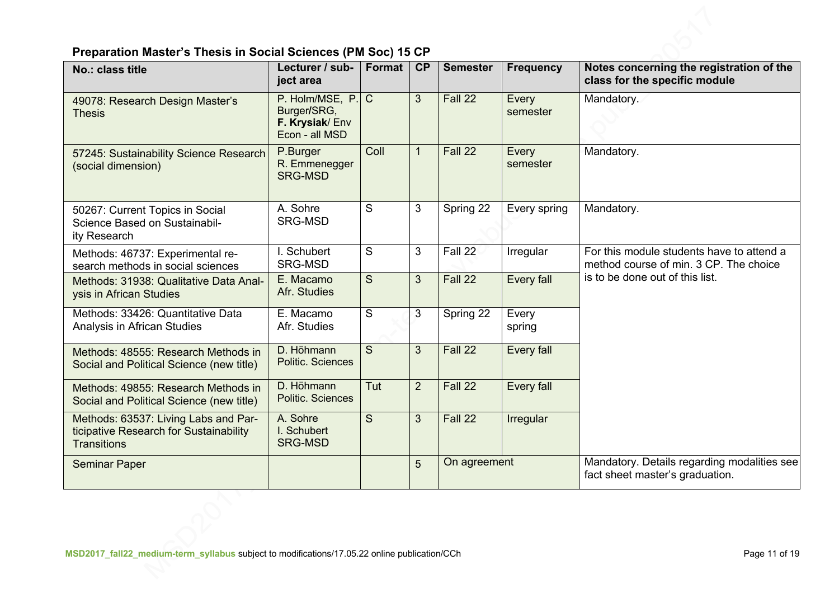# **Preparation Master's Thesis in Social Sciences (PM Soc) 15 CP**

| No.: class title                                                                                     | Lecturer / sub-<br>ject area                                       | Format       | <b>CP</b>      | <b>Semester</b> | <b>Frequency</b>  | Notes concerning the registration of the<br>class for the specific module                                              |
|------------------------------------------------------------------------------------------------------|--------------------------------------------------------------------|--------------|----------------|-----------------|-------------------|------------------------------------------------------------------------------------------------------------------------|
| 49078: Research Design Master's<br><b>Thesis</b>                                                     | P. Holm/MSE, P.<br>Burger/SRG,<br>F. Krysiak/Env<br>Econ - all MSD | $\mathsf{C}$ | $\mathbf{3}$   | Fall 22         | Every<br>semester | Mandatory.                                                                                                             |
| 57245: Sustainability Science Research<br>(social dimension)                                         | P.Burger<br>R. Emmenegger<br><b>SRG-MSD</b>                        | Coll         | $\mathbf{1}$   | Fall 22         | Every<br>semester | Mandatory.                                                                                                             |
| 50267: Current Topics in Social<br>Science Based on Sustainabil-<br>ity Research                     | A. Sohre<br><b>SRG-MSD</b>                                         | S            | 3              | Spring 22       | Every spring      | Mandatory.                                                                                                             |
| Methods: 46737: Experimental re-<br>search methods in social sciences                                | I. Schubert<br>SRG-MSD                                             | S            | 3              | Fall 22         | Irregular         | For this module students have to attend a<br>method course of min. 3 CP. The choice<br>is to be done out of this list. |
| Methods: 31938: Qualitative Data Anal-<br>ysis in African Studies                                    | E. Macamo<br>Afr. Studies                                          | S            | 3              | Fall 22         | Every fall        |                                                                                                                        |
| Methods: 33426: Quantitative Data<br>Analysis in African Studies                                     | E. Macamo<br>Afr. Studies                                          | S            | 3              | Spring 22       | Every<br>spring   |                                                                                                                        |
| Methods: 48555: Research Methods in<br>Social and Political Science (new title)                      | D. Höhmann<br>Politic. Sciences                                    | S            | 3              | Fall 22         | Every fall        |                                                                                                                        |
| Methods: 49855: Research Methods in<br>Social and Political Science (new title)                      | D. Höhmann<br>Politic. Sciences                                    | Tut          | $\overline{2}$ | Fall 22         | Every fall        |                                                                                                                        |
| Methods: 63537: Living Labs and Par-<br>ticipative Research for Sustainability<br><b>Transitions</b> | A. Sohre<br>I. Schubert<br><b>SRG-MSD</b>                          | S            | $\mathbf{3}$   | Fall 22         | Irregular         |                                                                                                                        |
| <b>Seminar Paper</b>                                                                                 |                                                                    |              | 5              | On agreement    |                   | Mandatory. Details regarding modalities see<br>fact sheet master's graduation.                                         |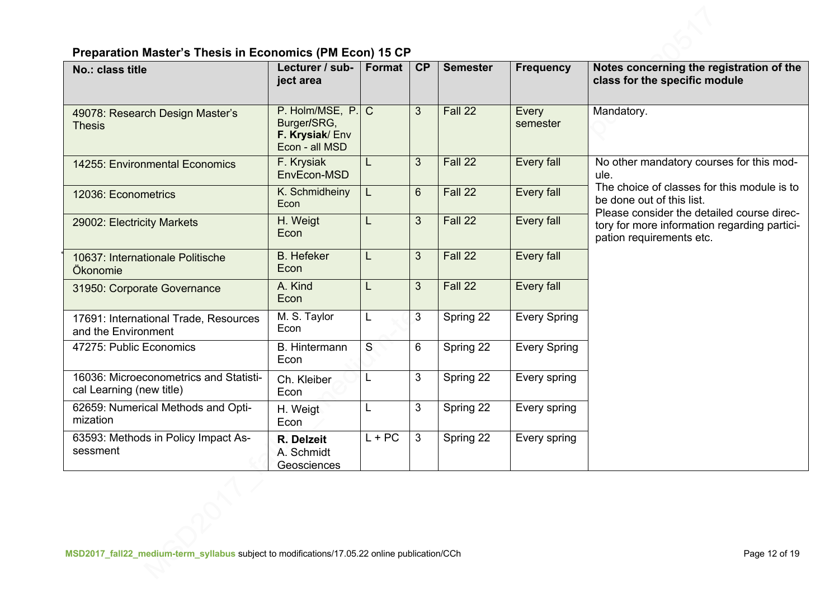# **Preparation Master's Thesis in Economics (PM Econ) 15 CP**

| No.: class title                                                   | Lecturer / sub-<br>ject area                                         | Format   | CP             | <b>Semester</b> | <b>Frequency</b>    | Notes concerning the registration of the<br>class for the specific module                                              |
|--------------------------------------------------------------------|----------------------------------------------------------------------|----------|----------------|-----------------|---------------------|------------------------------------------------------------------------------------------------------------------------|
| 49078: Research Design Master's<br><b>Thesis</b>                   | P. Holm/MSE, P. C<br>Burger/SRG,<br>F. Krysiak/Env<br>Econ - all MSD |          | $\mathbf{3}$   | Fall 22         | Every<br>semester   | Mandatory.                                                                                                             |
| 14255: Environmental Economics                                     | F. Krysiak<br>EnvEcon-MSD                                            | L        | 3              | Fall 22         | Every fall          | No other mandatory courses for this mod-<br>ule.                                                                       |
| 12036: Econometrics                                                | K. Schmidheiny<br>Econ                                               | L        | $6\phantom{1}$ | Fall 22         | Every fall          | The choice of classes for this module is to<br>be done out of this list.<br>Please consider the detailed course direc- |
| 29002: Electricity Markets                                         | H. Weigt<br>Econ                                                     | L        | $\overline{3}$ | Fall 22         | Every fall          | tory for more information regarding partici-<br>pation requirements etc.                                               |
| 10637: Internationale Politische<br>Ökonomie                       | <b>B.</b> Hefeker<br>Econ                                            | L        | 3              | Fall 22         | Every fall          |                                                                                                                        |
| 31950: Corporate Governance                                        | A. Kind<br>Econ                                                      | L        | 3              | Fall 22         | Every fall          |                                                                                                                        |
| 17691: International Trade, Resources<br>and the Environment       | M. S. Taylor<br>Econ                                                 | L        | 3              | Spring 22       | <b>Every Spring</b> |                                                                                                                        |
| 47275: Public Economics                                            | <b>B.</b> Hintermann<br>Econ                                         | S        | 6              | Spring 22       | <b>Every Spring</b> |                                                                                                                        |
| 16036: Microeconometrics and Statisti-<br>cal Learning (new title) | Ch. Kleiber<br>Econ                                                  | L        | 3              | Spring 22       | Every spring        |                                                                                                                        |
| 62659: Numerical Methods and Opti-<br>mization                     | H. Weigt<br>Econ                                                     | L        | 3              | Spring 22       | Every spring        |                                                                                                                        |
| 63593: Methods in Policy Impact As-<br>sessment                    | R. Delzeit<br>A. Schmidt<br>Geosciences                              | $L + PC$ | 3              | Spring 22       | Every spring        |                                                                                                                        |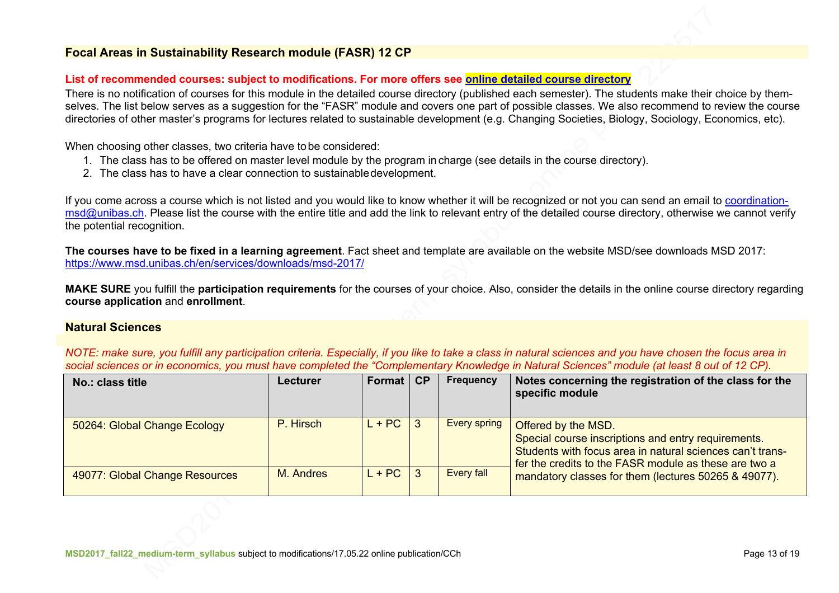### **Focal Areas in Sustainability Research module (FASR) 12 CP**

#### **List of recommended courses: subject to modifications. For more offers see online detailed course directory**

There is no notification of courses for this module in the detailed course directory (published each semester). The students make their choice by themselves. The list below serves as a suggestion for the "FASR" module and covers one part of possible classes. We also recommend to review the course directories of other master's programs for lectures related to sustainable development (e.g. Changing Societies, Biology, Sociology, Economics, etc).

When choosing other classes, two criteria have tobe considered:

- 1. The class has to be offered on master level module by the program in charge (see details in the course directory).
- 2. The class has to have a clear connection to sustainabledevelopment.

If you come across a course which is not listed and you would like to know whether it will be recognized or not you can send an email to coordinationmsd@unibas.ch. Please list the course with the entire title and add the link to relevant entry of the detailed course directory, otherwise we cannot verify the potential recognition.

**The courses have to be fixed in a learning agreement**. Fact sheet and template are available on the website MSD/see downloads MSD 2017: https://www.msd.unibas.ch/en/services/downloads/msd-2017/

**MAKE SURE** you fulfill the **participation requirements** for the courses of your choice. Also, consider the details in the online course directory regarding **course application** and **enrollment**.

### **Natural Sciences**

*NOTE: make sure, you fulfill any participation criteria. Especially, if you like to take a class in natural sciences and you have chosen the focus area in* social sciences or in economics, you must have completed the "Complementary Knowledge in Natural Sciences" module (at least 8 out of 12 CP).

| No.: class title               | Lecturer  | Format $\mathsf{C}$ $\mathsf{C}$ | <b>Frequency</b>    | Notes concerning the registration of the class for the<br>specific module                                                                                                                        |
|--------------------------------|-----------|----------------------------------|---------------------|--------------------------------------------------------------------------------------------------------------------------------------------------------------------------------------------------|
| 50264: Global Change Ecology   | P. Hirsch | $L + PC$                         | <b>Every spring</b> | Offered by the MSD.<br>Special course inscriptions and entry requirements.<br>Students with focus area in natural sciences can't trans-<br>fer the credits to the FASR module as these are two a |
| 49077: Global Change Resources | M. Andres | $L + PC$                         | Every fall          | mandatory classes for them (lectures 50265 & 49077).                                                                                                                                             |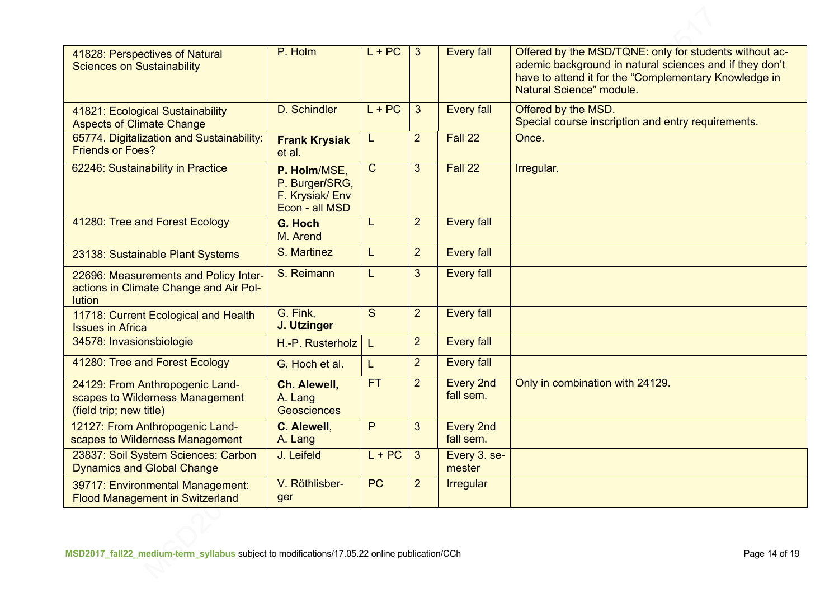| 41828: Perspectives of Natural<br><b>Sciences on Sustainability</b>                              | P. Holm                                                            | $L + PC$       | 3              | <b>Every fall</b>             | Offered by the MSD/TQNE: only for students without ac-<br>ademic background in natural sciences and if they don't<br>have to attend it for the "Complementary Knowledge in<br>Natural Science" module. |
|--------------------------------------------------------------------------------------------------|--------------------------------------------------------------------|----------------|----------------|-------------------------------|--------------------------------------------------------------------------------------------------------------------------------------------------------------------------------------------------------|
| 41821: Ecological Sustainability<br><b>Aspects of Climate Change</b>                             | D. Schindler                                                       | $L + PC$       | 3              | <b>Every fall</b>             | Offered by the MSD.<br>Special course inscription and entry requirements.                                                                                                                              |
| 65774. Digitalization and Sustainability:<br><b>Friends or Foes?</b>                             | <b>Frank Krysiak</b><br>et al.                                     | L              | $\overline{2}$ | Fall 22                       | Once.                                                                                                                                                                                                  |
| 62246: Sustainability in Practice                                                                | P. Holm/MSE.<br>P. Burger/SRG,<br>F. Krysiak/Env<br>Econ - all MSD | $\overline{C}$ | $\overline{3}$ | Fall 22                       | Irregular.                                                                                                                                                                                             |
| 41280: Tree and Forest Ecology                                                                   | G. Hoch<br>M. Arend                                                | L              | $\overline{2}$ | <b>Every fall</b>             |                                                                                                                                                                                                        |
| 23138: Sustainable Plant Systems                                                                 | S. Martinez                                                        | L              | $\overline{2}$ | <b>Every fall</b>             |                                                                                                                                                                                                        |
| 22696: Measurements and Policy Inter-<br>actions in Climate Change and Air Pol-<br><b>lution</b> | S. Reimann                                                         | L              | $\overline{3}$ | <b>Every fall</b>             |                                                                                                                                                                                                        |
| 11718: Current Ecological and Health<br><b>Issues in Africa</b>                                  | G. Fink,<br>J. Utzinger                                            | S              | $\overline{2}$ | <b>Every fall</b>             |                                                                                                                                                                                                        |
| 34578: Invasionsbiologie                                                                         | H.-P. Rusterholz                                                   | L.             | $\overline{2}$ | <b>Every fall</b>             |                                                                                                                                                                                                        |
| 41280: Tree and Forest Ecology                                                                   | G. Hoch et al.                                                     | L.             | $\overline{2}$ | <b>Every fall</b>             |                                                                                                                                                                                                        |
| 24129: From Anthropogenic Land-<br>scapes to Wilderness Management<br>(field trip; new title)    | Ch. Alewell,<br>A. Lang<br><b>Geosciences</b>                      | FT.            | $\overline{2}$ | <b>Every 2nd</b><br>fall sem. | Only in combination with 24129.                                                                                                                                                                        |
| 12127: From Anthropogenic Land-<br>scapes to Wilderness Management                               | C. Alewell,<br>A. Lang                                             | P              | $\overline{3}$ | <b>Every 2nd</b><br>fall sem. |                                                                                                                                                                                                        |
| 23837: Soil System Sciences: Carbon<br><b>Dynamics and Global Change</b>                         | J. Leifeld                                                         | $L + PC$       | 3              | Every 3. se-<br>mester        |                                                                                                                                                                                                        |
| 39717: Environmental Management:<br><b>Flood Management in Switzerland</b>                       | V. Röthlisber-<br>ger                                              | <b>PC</b>      | $\overline{2}$ | <b>Irregular</b>              |                                                                                                                                                                                                        |
|                                                                                                  |                                                                    |                |                |                               |                                                                                                                                                                                                        |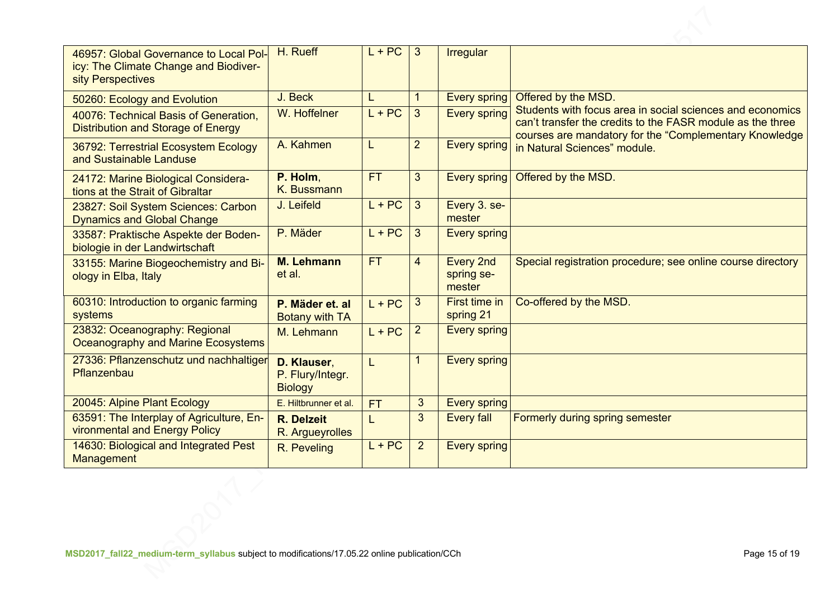| 46957: Global Governance to Local Pol-<br>icy: The Climate Change and Biodiver-<br>sity Perspectives | H. Rueff                                          | $L + PC$  | $\mathbf{3}$   | <b>Irregular</b>                         |                                                                                                                                                                                    |
|------------------------------------------------------------------------------------------------------|---------------------------------------------------|-----------|----------------|------------------------------------------|------------------------------------------------------------------------------------------------------------------------------------------------------------------------------------|
| 50260: Ecology and Evolution                                                                         | J. Beck                                           | L         | $\mathbf{1}$   | Every spring                             | Offered by the MSD.                                                                                                                                                                |
| 40076: Technical Basis of Generation,<br><b>Distribution and Storage of Energy</b>                   | W. Hoffelner                                      | $L + PC$  | 3              | <b>Every spring</b>                      | Students with focus area in social sciences and economics<br>can't transfer the credits to the FASR module as the three<br>courses are mandatory for the "Complementary Knowledge" |
| 36792: Terrestrial Ecosystem Ecology<br>and Sustainable Landuse                                      | A. Kahmen                                         | L         | $\overline{2}$ | Every spring                             | in Natural Sciences" module.                                                                                                                                                       |
| 24172: Marine Biological Considera-<br>tions at the Strait of Gibraltar                              | P. Holm,<br>K. Bussmann                           | <b>FT</b> | 3              | <b>Every spring</b>                      | Offered by the MSD.                                                                                                                                                                |
| 23827: Soil System Sciences: Carbon<br><b>Dynamics and Global Change</b>                             | J. Leifeld                                        | $L + PC$  | 3              | Every 3. se-<br>mester                   |                                                                                                                                                                                    |
| 33587: Praktische Aspekte der Boden-<br>biologie in der Landwirtschaft                               | P. Mäder                                          | $L + PC$  | 3              | <b>Every spring</b>                      |                                                                                                                                                                                    |
| 33155: Marine Biogeochemistry and Bi-<br>ology in Elba, Italy                                        | <b>M. Lehmann</b><br>et al.                       | <b>FT</b> | 4              | <b>Every 2nd</b><br>spring se-<br>mester | Special registration procedure; see online course directory                                                                                                                        |
| 60310: Introduction to organic farming<br>systems                                                    | P. Mäder et. al<br><b>Botany with TA</b>          | $L + PC$  | 3              | First time in<br>spring 21               | Co-offered by the MSD.                                                                                                                                                             |
| 23832: Oceanography: Regional<br>Oceanography and Marine Ecosystems                                  | M. Lehmann                                        | $L + PC$  | $\overline{2}$ | <b>Every spring</b>                      |                                                                                                                                                                                    |
| 27336: Pflanzenschutz und nachhaltiger<br>Pflanzenbau                                                | D. Klauser,<br>P. Flury/Integr.<br><b>Biology</b> | L         |                | <b>Every spring</b>                      |                                                                                                                                                                                    |
| 20045: Alpine Plant Ecology                                                                          | E. Hiltbrunner et al.                             | <b>FT</b> | 3 <sup>2</sup> | <b>Every spring</b>                      |                                                                                                                                                                                    |
| 63591: The Interplay of Agriculture, En-<br>vironmental and Energy Policy                            | <b>R.</b> Delzeit<br>R. Argueyrolles              |           | $\overline{3}$ | <b>Every fall</b>                        | Formerly during spring semester                                                                                                                                                    |
| 14630: Biological and Integrated Pest<br>Management                                                  | R. Peveling                                       | $L + PC$  | $\overline{2}$ | <b>Every spring</b>                      |                                                                                                                                                                                    |
|                                                                                                      |                                                   |           |                |                                          |                                                                                                                                                                                    |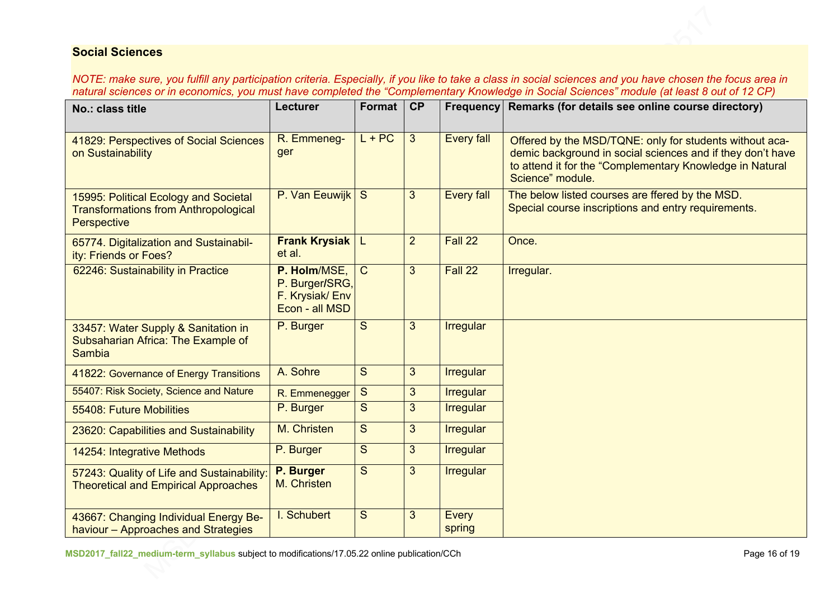## **Social Sciences**

*NOTE: make sure, you fulfill any participation criteria. Especially, if you like to take a class in social sciences and you have chosen the focus area in natural sciences or in economics, you must have completed the "Complementary Knowledge in Social Sciences" module (at least 8 out of 12 CP)*

| No.: class title                                                                                    | <b>Lecturer</b>                                                    | Format       | CP             | <b>Frequency</b>       | Remarks (for details see online course directory)                                                                                                                                                     |
|-----------------------------------------------------------------------------------------------------|--------------------------------------------------------------------|--------------|----------------|------------------------|-------------------------------------------------------------------------------------------------------------------------------------------------------------------------------------------------------|
| 41829: Perspectives of Social Sciences<br>on Sustainability                                         | R. Emmeneg-<br>ger                                                 | $L + PC$     | $\mathbf{3}$   | <b>Every fall</b>      | Offered by the MSD/TQNE: only for students without aca-<br>demic background in social sciences and if they don't have<br>to attend it for the "Complementary Knowledge in Natural<br>Science" module. |
| 15995: Political Ecology and Societal<br><b>Transformations from Anthropological</b><br>Perspective | P. Van Eeuwijk                                                     | S            | 3              | <b>Every fall</b>      | The below listed courses are ffered by the MSD.<br>Special course inscriptions and entry requirements.                                                                                                |
| 65774. Digitalization and Sustainabil-<br>ity: Friends or Foes?                                     | <b>Frank Krysiak</b><br>et al.                                     | L.           | $\overline{2}$ | Fall 22                | Once.                                                                                                                                                                                                 |
| 62246: Sustainability in Practice                                                                   | P. Holm/MSE,<br>P. Burger/SRG,<br>F. Krysiak/Env<br>Econ - all MSD | $\mathsf{C}$ | 3              | Fall 22                | Irregular.                                                                                                                                                                                            |
| 33457: Water Supply & Sanitation in<br>Subsaharian Africa: The Example of<br>Sambia                 | P. Burger                                                          | S            | 3              | <b>Irregular</b>       |                                                                                                                                                                                                       |
| 41822: Governance of Energy Transitions                                                             | A. Sohre                                                           | S            | $\mathbf{3}$   | <b>Irregular</b>       |                                                                                                                                                                                                       |
| 55407: Risk Society, Science and Nature                                                             | R. Emmenegger                                                      | S            | 3              | <b>Irregular</b>       |                                                                                                                                                                                                       |
| 55408: Future Mobilities                                                                            | P. Burger                                                          | S            | 3              | <b>Irregular</b>       |                                                                                                                                                                                                       |
| 23620: Capabilities and Sustainability                                                              | M. Christen                                                        | S            | $\overline{3}$ | <b>Irregular</b>       |                                                                                                                                                                                                       |
| 14254: Integrative Methods                                                                          | P. Burger                                                          | S            | $\overline{3}$ | <b>Irregular</b>       |                                                                                                                                                                                                       |
| 57243: Quality of Life and Sustainability<br><b>Theoretical and Empirical Approaches</b>            | P. Burger<br>M. Christen                                           | S            | 3              | <b>Irregular</b>       |                                                                                                                                                                                                       |
| 43667: Changing Individual Energy Be-<br>haviour - Approaches and Strategies                        | I. Schubert                                                        | S            | 3              | <b>Every</b><br>spring |                                                                                                                                                                                                       |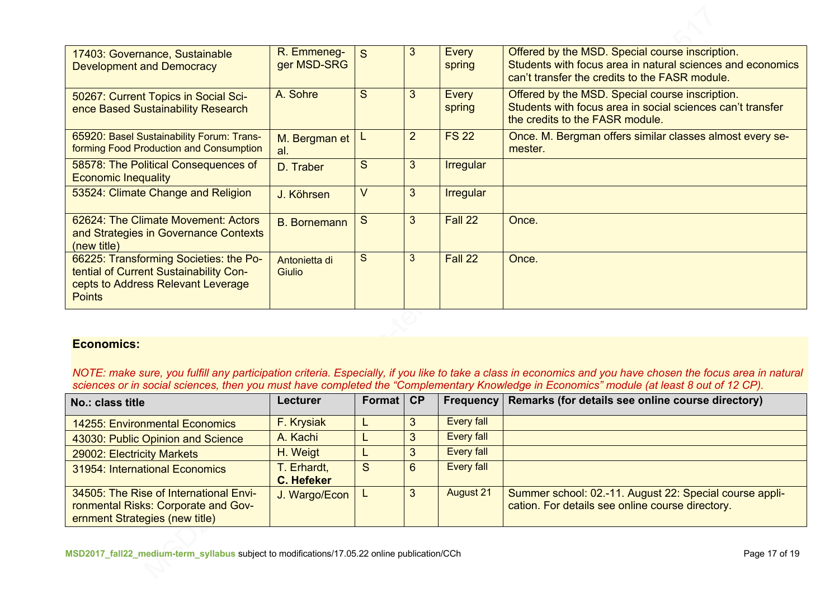| 17403: Governance, Sustainable<br><b>Development and Democracy</b>                                                                      | R. Emmeneg-<br>ger MSD-SRG     | S      | 3              | Every<br>spring        | Offered by the MSD. Special course inscription.<br>Students with focus area in natural sciences and economics<br>can't transfer the credits to the FASR module. |
|-----------------------------------------------------------------------------------------------------------------------------------------|--------------------------------|--------|----------------|------------------------|-----------------------------------------------------------------------------------------------------------------------------------------------------------------|
| 50267: Current Topics in Social Sci-<br>ence Based Sustainability Research                                                              | A. Sohre                       | S      | 3              | <b>Every</b><br>spring | Offered by the MSD. Special course inscription.<br>Students with focus area in social sciences can't transfer<br>the credits to the FASR module.                |
| 65920: Basel Sustainability Forum: Trans-<br>forming Food Production and Consumption                                                    | M. Bergman et<br>al.           |        | $\overline{2}$ | <b>FS 22</b>           | Once. M. Bergman offers similar classes almost every se-<br>mester.                                                                                             |
| 58578: The Political Consequences of<br><b>Economic Inequality</b>                                                                      | D. Traber                      | S      | 3              | <b>Irregular</b>       |                                                                                                                                                                 |
| 53524: Climate Change and Religion                                                                                                      | J. Köhrsen                     | $\vee$ | $\mathbf{3}$   | <b>Irregular</b>       |                                                                                                                                                                 |
| 62624: The Climate Movement: Actors<br>and Strategies in Governance Contexts<br>(new title)                                             | <b>B.</b> Bornemann            | S      | 3              | Fall 22                | Once.                                                                                                                                                           |
| 66225: Transforming Societies: the Po-<br>tential of Current Sustainability Con-<br>cepts to Address Relevant Leverage<br><b>Points</b> | Antonietta di<br><b>Giulio</b> | S      | 3              | Fall 22                | Once.                                                                                                                                                           |

### **Economics:**

*NOTE: make sure, you fulfill any participation criteria. Especially, if you like to take a class in economics and you have chosen the focus area in natural sciences or in social sciences, then you must have completed the "Complementary Knowledge in Economics" module (at least 8 out of 12 CP).*

| No.: class title                                                                                                | Lecturer                         | Format   CP |    |                   | Frequency   Remarks (for details see online course directory)                                               |
|-----------------------------------------------------------------------------------------------------------------|----------------------------------|-------------|----|-------------------|-------------------------------------------------------------------------------------------------------------|
| <b>14255: Environmental Economics</b>                                                                           | F. Krysiak                       |             |    | <b>Every fall</b> |                                                                                                             |
| 43030: Public Opinion and Science                                                                               | A. Kachi                         |             |    | <b>Every fall</b> |                                                                                                             |
| 29002: Electricity Markets                                                                                      | H. Weigt                         |             |    | <b>Every fall</b> |                                                                                                             |
| 31954: International Economics                                                                                  | T. Erhardt,<br><b>C. Hefeker</b> | S           | 6  | Every fall        |                                                                                                             |
| 34505: The Rise of International Envi-<br>ronmental Risks: Corporate and Gov-<br>ernment Strategies (new title) | J. Wargo/Econ                    |             | -3 | <b>August 21</b>  | Summer school: 02.-11. August 22: Special course appli-<br>cation. For details see online course directory. |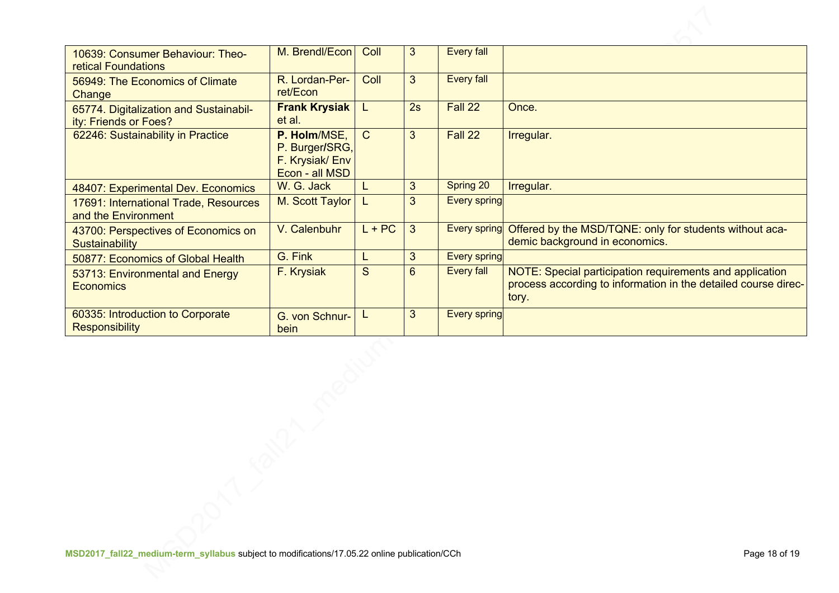| 10639: Consumer Behaviour: Theo-<br><b>retical Foundations</b>  | M. Brendl/Econ                                                     | Coll         | 3  | <b>Every fall</b>   |                                                                                                                                     |
|-----------------------------------------------------------------|--------------------------------------------------------------------|--------------|----|---------------------|-------------------------------------------------------------------------------------------------------------------------------------|
| 56949: The Economics of Climate<br>Change                       | R. Lordan-Per-<br>ret/Econ                                         | Coll         | 3  | <b>Every fall</b>   |                                                                                                                                     |
| 65774. Digitalization and Sustainabil-<br>ity: Friends or Foes? | <b>Frank Krysiak</b><br>et al.                                     | L            | 2s | Fall 22             | Once.                                                                                                                               |
| 62246: Sustainability in Practice                               | P. Holm/MSE,<br>P. Burger/SRG,<br>F. Krysiak/Env<br>Econ - all MSD | $\mathsf{C}$ | 3  | Fall 22             | Irregular.                                                                                                                          |
| 48407: Experimental Dev. Economics                              | W. G. Jack                                                         | L            | 3  | Spring 20           | Irregular.                                                                                                                          |
| 17691: International Trade, Resources<br>and the Environment    | M. Scott Taylor                                                    | L            | 3  | <b>Every spring</b> |                                                                                                                                     |
| 43700: Perspectives of Economics on<br>Sustainability           | V. Calenbuhr                                                       | $L + PC$     | 3  | <b>Every spring</b> | Offered by the MSD/TQNE: only for students without aca-<br>demic background in economics.                                           |
| 50877: Economics of Global Health                               | G. Fink                                                            |              | 3  | <b>Every spring</b> |                                                                                                                                     |
| 53713: Environmental and Energy<br><b>Economics</b>             | F. Krysiak                                                         | S            | 6  | <b>Every fall</b>   | NOTE: Special participation requirements and application<br>process according to information in the detailed course direc-<br>tory. |
| 60335: Introduction to Corporate<br><b>Responsibility</b>       | G. von Schnur-<br>bein                                             | L            | 3  | <b>Every spring</b> |                                                                                                                                     |